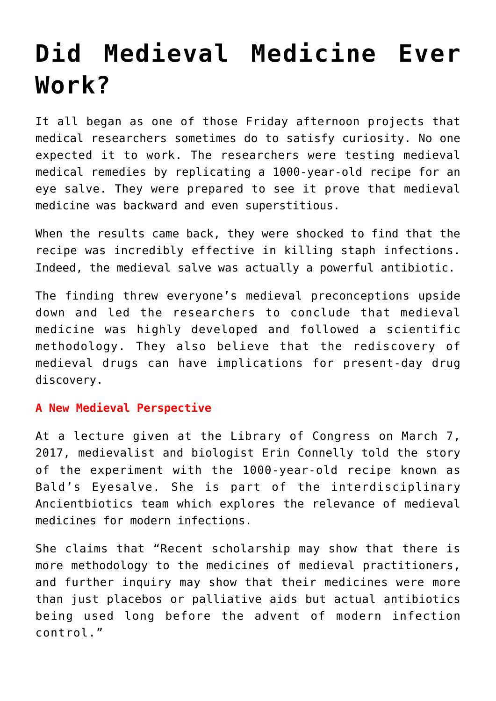# **[Did Medieval Medicine Ever](https://intellectualtakeout.org/2017/08/did-medieval-medicine-ever-work/) [Work?](https://intellectualtakeout.org/2017/08/did-medieval-medicine-ever-work/)**

It all began as one of those Friday afternoon projects that medical researchers sometimes do to satisfy curiosity. No one expected it to work. The researchers were testing medieval medical remedies by replicating a 1000-year-old recipe for an eye salve. They were prepared to see it prove that medieval medicine was backward and even superstitious.

When the results came back, they were shocked to find that the recipe was incredibly effective in killing staph infections. Indeed, the medieval salve was actually a powerful antibiotic.

The finding threw everyone's medieval preconceptions upside down and led the researchers to conclude that medieval medicine was highly developed and followed a scientific methodology. They also believe that the rediscovery of medieval drugs can have implications for present-day drug discovery.

## **A New Medieval Perspective**

At a lecture given at the Library of Congress on March 7, 2017, medievalist and biologist Erin Connelly told the story of the experiment with the 1000-year-old recipe known as Bald's Eyesalve. She is part of the interdisciplinary Ancientbiotics team which explores the relevance of medieval medicines for modern infections.

She claims that "Recent scholarship may show that there is more methodology to the medicines of medieval practitioners, and further inquiry may show that their medicines were more than just placebos or palliative aids but actual antibiotics being used long before the advent of modern infection control."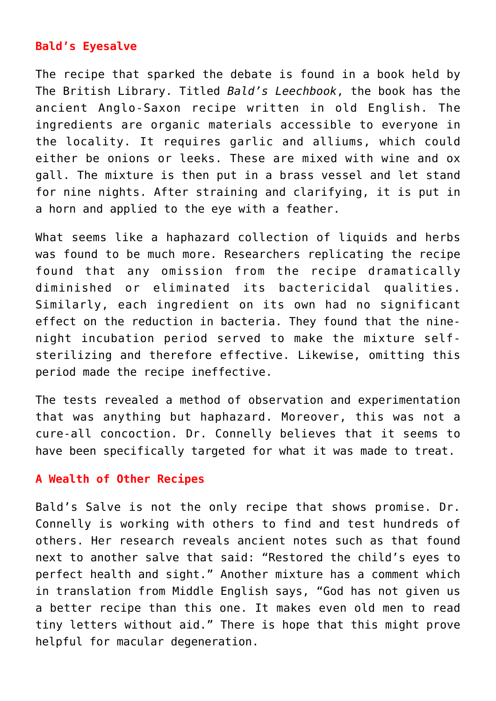# **Bald's Eyesalve**

The recipe that sparked the debate is found in a book held by The British Library. Titled *Bald's Leechbook*, the book has the ancient Anglo-Saxon recipe written in old English. The ingredients are organic materials accessible to everyone in the locality. It requires garlic and alliums, which could either be onions or leeks. These are mixed with wine and ox gall. The mixture is then put in a brass vessel and let stand for nine nights. After straining and clarifying, it is put in a horn and applied to the eye with a feather.

What seems like a haphazard collection of liquids and herbs was found to be much more. Researchers replicating the recipe found that any omission from the recipe dramatically diminished or eliminated its bactericidal qualities. Similarly, each ingredient on its own had no significant effect on the reduction in bacteria. They found that the ninenight incubation period served to make the mixture selfsterilizing and therefore effective. Likewise, omitting this period made the recipe ineffective.

The tests revealed a method of observation and experimentation that was anything but haphazard. Moreover, this was not a cure-all concoction. Dr. Connelly believes that it seems to have been specifically targeted for what it was made to treat.

#### **A Wealth of Other Recipes**

Bald's Salve is not the only recipe that shows promise. Dr. Connelly is working with others to find and test hundreds of others. Her research reveals ancient notes such as that found next to another salve that said: "Restored the child's eyes to perfect health and sight." Another mixture has a comment which in translation from Middle English says, "God has not given us a better recipe than this one. It makes even old men to read tiny letters without aid." There is hope that this might prove helpful for macular degeneration.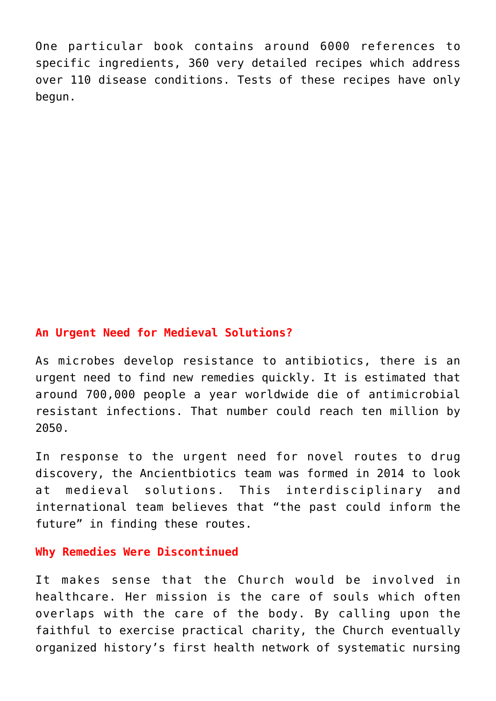One particular book contains around 6000 references to specific ingredients, 360 very detailed recipes which address over 110 disease conditions. Tests of these recipes have only begun.

## **An Urgent Need for Medieval Solutions?**

As microbes develop resistance to antibiotics, there is an urgent need to find new remedies quickly. It is estimated that around 700,000 people a year worldwide die of antimicrobial resistant infections. That number could reach ten million by 2050.

In response to the urgent need for novel routes to drug discovery, the Ancientbiotics team was formed in 2014 to look at medieval solutions. This interdisciplinary and international team believes that "the past could inform the future" in finding these routes.

## **Why Remedies Were Discontinued**

It makes sense that the Church would be involved in healthcare. Her mission is the care of souls which often overlaps with the care of the body. By calling upon the faithful to exercise practical charity, the Church eventually organized history's first health network of systematic nursing